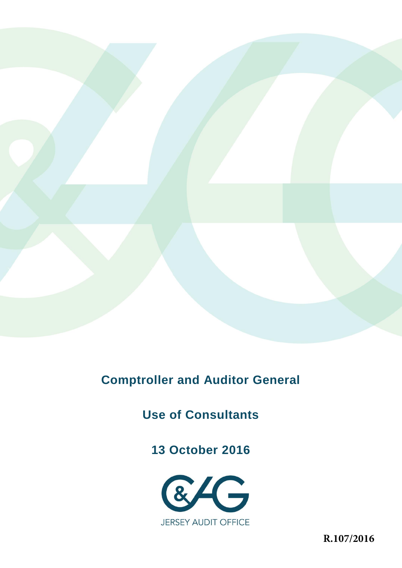

# **Comptroller and Auditor General**

**Use of Consultants** 

**13 October 2016** 



**R.107/2016**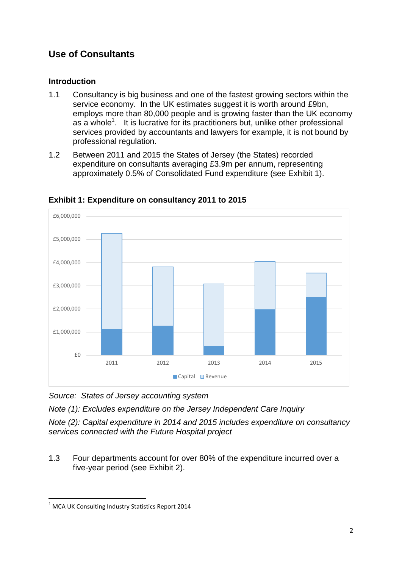# **Use of Consultants**

## **Introduction**

- 1.1 Consultancy is big business and one of the fastest growing sectors within the service economy. In the UK estimates suggest it is worth around £9bn, employs more than 80,000 people and is growing faster than the UK economy as a whole<sup>1</sup>. It is lucrative for its practitioners but, unlike other professional services provided by accountants and lawyers for example, it is not bound by professional regulation.
- 1.2 Between 2011 and 2015 the States of Jersey (the States) recorded expenditure on consultants averaging £3.9m per annum, representing approximately 0.5% of Consolidated Fund expenditure (see Exhibit 1).



**Exhibit 1: Expenditure on consultancy 2011 to 2015**

*Source: States of Jersey accounting system*

*Note (1): Excludes expenditure on the Jersey Independent Care Inquiry*

*Note (2): Capital expenditure in 2014 and 2015 includes expenditure on consultancy services connected with the Future Hospital project*

1.3 Four departments account for over 80% of the expenditure incurred over a five-year period (see Exhibit 2).

**.** 

 $1$  MCA UK Consulting Industry Statistics Report 2014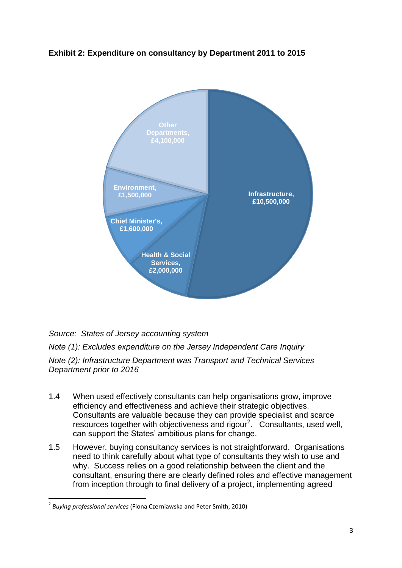

## **Exhibit 2: Expenditure on consultancy by Department 2011 to 2015**

*Source: States of Jersey accounting system*

*Note (1): Excludes expenditure on the Jersey Independent Care Inquiry Note (2): Infrastructure Department was Transport and Technical Services Department prior to 2016*

- 1.4 When used effectively consultants can help organisations grow, improve efficiency and effectiveness and achieve their strategic objectives. Consultants are valuable because they can provide specialist and scarce resources together with objectiveness and rigour<sup>2</sup>. Consultants, used well, can support the States' ambitious plans for change.
- 1.5 However, buying consultancy services is not straightforward. Organisations need to think carefully about what type of consultants they wish to use and why. Success relies on a good relationship between the client and the consultant, ensuring there are clearly defined roles and effective management from inception through to final delivery of a project, implementing agreed

**.** 

<sup>2</sup> *Buying professional services* (Fiona Czerniawska and Peter Smith, 2010)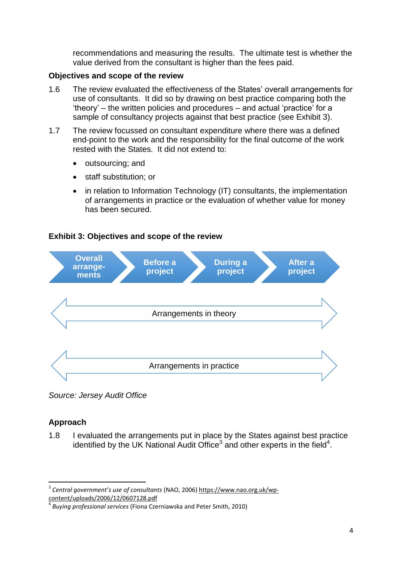recommendations and measuring the results. The ultimate test is whether the value derived from the consultant is higher than the fees paid.

### **Objectives and scope of the review**

- 1.6 The review evaluated the effectiveness of the States' overall arrangements for use of consultants. It did so by drawing on best practice comparing both the 'theory' – the written policies and procedures – and actual 'practice' for a sample of consultancy projects against that best practice (see Exhibit 3).
- 1.7 The review focussed on consultant expenditure where there was a defined end-point to the work and the responsibility for the final outcome of the work rested with the States. It did not extend to:
	- outsourcing; and
	- staff substitution; or
	- in relation to Information Technology (IT) consultants, the implementation of arrangements in practice or the evaluation of whether value for money has been secured.

### **Exhibit 3: Objectives and scope of the review**



*Source: Jersey Audit Office*

## **Approach**

**.** 

1.8 I evaluated the arrangements put in place by the States against best practice identified by the UK National Audit Office<sup>3</sup> and other experts in the field<sup>4</sup>.

<sup>3</sup> *Central government's use of consultants* (NAO, 2006) https://www.nao.org.uk/wpcontent/uploads/2006/12/0607128.pdf

<sup>4</sup> *Buying professional services* (Fiona Czerniawska and Peter Smith, 2010)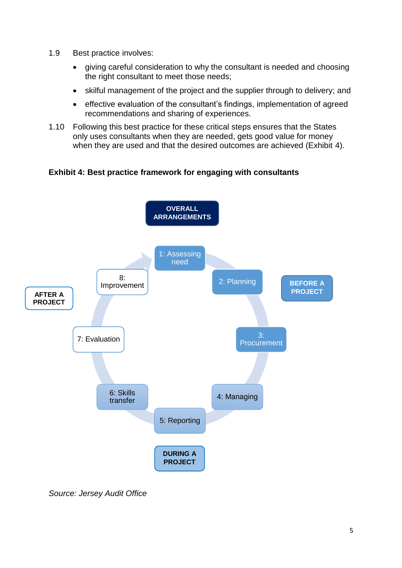- 1.9 Best practice involves:
	- giving careful consideration to why the consultant is needed and choosing the right consultant to meet those needs;
	- skilful management of the project and the supplier through to delivery; and
	- effective evaluation of the consultant's findings, implementation of agreed recommendations and sharing of experiences.
- 1.10 Following this best practice for these critical steps ensures that the States only uses consultants when they are needed, gets good value for money when they are used and that the desired outcomes are achieved (Exhibit 4).

**Exhibit 4: Best practice framework for engaging with consultants** 



*Source: Jersey Audit Office*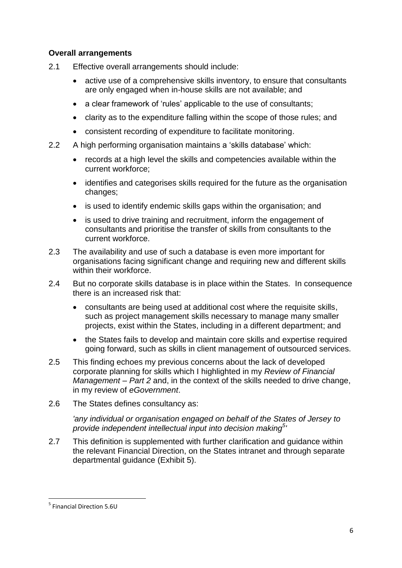## **Overall arrangements**

- 2.1 Effective overall arrangements should include:
	- active use of a comprehensive skills inventory, to ensure that consultants are only engaged when in-house skills are not available; and
	- a clear framework of 'rules' applicable to the use of consultants;
	- clarity as to the expenditure falling within the scope of those rules; and
	- consistent recording of expenditure to facilitate monitoring.
- 2.2 A high performing organisation maintains a 'skills database' which:
	- records at a high level the skills and competencies available within the current workforce;
	- identifies and categorises skills required for the future as the organisation changes;
	- is used to identify endemic skills gaps within the organisation; and
	- is used to drive training and recruitment, inform the engagement of consultants and prioritise the transfer of skills from consultants to the current workforce.
- 2.3 The availability and use of such a database is even more important for organisations facing significant change and requiring new and different skills within their workforce
- 2.4 But no corporate skills database is in place within the States. In consequence there is an increased risk that:
	- consultants are being used at additional cost where the requisite skills, such as project management skills necessary to manage many smaller projects, exist within the States, including in a different department; and
	- the States fails to develop and maintain core skills and expertise required going forward, such as skills in client management of outsourced services.
- 2.5 This finding echoes my previous concerns about the lack of developed corporate planning for skills which I highlighted in my *Review of Financial Management – Part 2* and, in the context of the skills needed to drive change, in my review of *eGovernment*.
- 2.6 The States defines consultancy as:

*'any individual or organisation engaged on behalf of the States of Jersey to provide independent intellectual input into decision making<sup>5</sup> '*

2.7 This definition is supplemented with further clarification and guidance within the relevant Financial Direction, on the States intranet and through separate departmental guidance (Exhibit 5).

**.** 

<sup>5</sup> Financial Direction 5.6U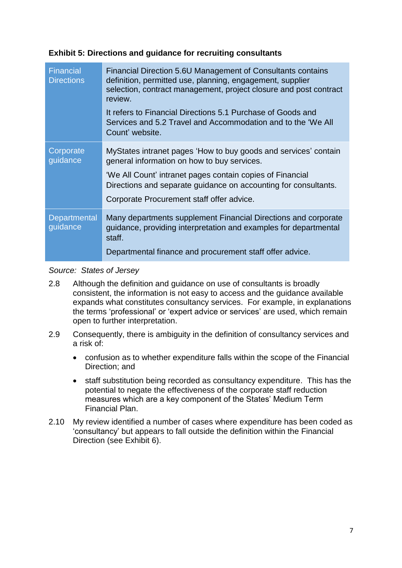## **Exhibit 5: Directions and guidance for recruiting consultants**

| <b>Financial</b><br><b>Directions</b> | Financial Direction 5.6U Management of Consultants contains<br>definition, permitted use, planning, engagement, supplier<br>selection, contract management, project closure and post contract<br>review.<br>It refers to Financial Directions 5.1 Purchase of Goods and<br>Services and 5.2 Travel and Accommodation and to the 'We All |
|---------------------------------------|-----------------------------------------------------------------------------------------------------------------------------------------------------------------------------------------------------------------------------------------------------------------------------------------------------------------------------------------|
|                                       | Count' website.                                                                                                                                                                                                                                                                                                                         |
| Corporate<br>guidance                 | MyStates intranet pages 'How to buy goods and services' contain<br>general information on how to buy services.                                                                                                                                                                                                                          |
|                                       | 'We All Count' intranet pages contain copies of Financial<br>Directions and separate guidance on accounting for consultants.                                                                                                                                                                                                            |
|                                       | Corporate Procurement staff offer advice.                                                                                                                                                                                                                                                                                               |
| Departmental<br>guidance              | Many departments supplement Financial Directions and corporate<br>guidance, providing interpretation and examples for departmental<br>staff.                                                                                                                                                                                            |
|                                       | Departmental finance and procurement staff offer advice.                                                                                                                                                                                                                                                                                |

#### *Source: States of Jersey*

- 2.8 Although the definition and guidance on use of consultants is broadly consistent, the information is not easy to access and the guidance available expands what constitutes consultancy services. For example, in explanations the terms 'professional' or 'expert advice or services' are used, which remain open to further interpretation.
- 2.9 Consequently, there is ambiguity in the definition of consultancy services and a risk of:
	- confusion as to whether expenditure falls within the scope of the Financial Direction; and
	- staff substitution being recorded as consultancy expenditure. This has the potential to negate the effectiveness of the corporate staff reduction measures which are a key component of the States' Medium Term Financial Plan.
- 2.10 My review identified a number of cases where expenditure has been coded as 'consultancy' but appears to fall outside the definition within the Financial Direction (see Exhibit 6).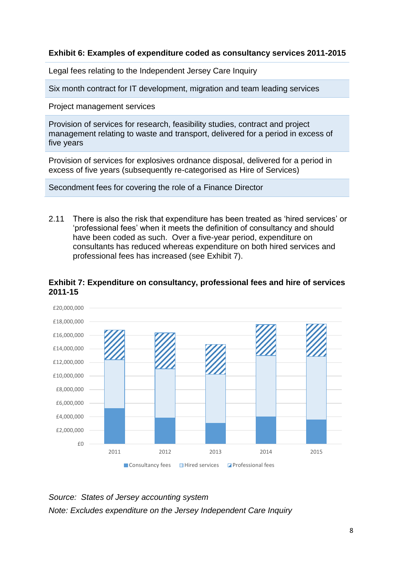## **Exhibit 6: Examples of expenditure coded as consultancy services 2011-2015**

Legal fees relating to the Independent Jersey Care Inquiry

Six month contract for IT development, migration and team leading services

Project management services

Provision of services for research, feasibility studies, contract and project management relating to waste and transport, delivered for a period in excess of five years

Provision of services for explosives ordnance disposal, delivered for a period in excess of five years (subsequently re-categorised as Hire of Services)

Secondment fees for covering the role of a Finance Director

2.11 There is also the risk that expenditure has been treated as 'hired services' or 'professional fees' when it meets the definition of consultancy and should have been coded as such. Over a five-year period, expenditure on consultants has reduced whereas expenditure on both hired services and professional fees has increased (see Exhibit 7).



#### **Exhibit 7: Expenditure on consultancy, professional fees and hire of services 2011-15**

*Source: States of Jersey accounting system Note: Excludes expenditure on the Jersey Independent Care Inquiry*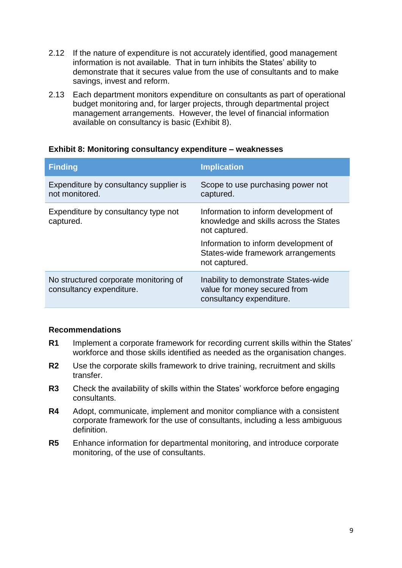- 2.12 If the nature of expenditure is not accurately identified, good management information is not available. That in turn inhibits the States' ability to demonstrate that it secures value from the use of consultants and to make savings, invest and reform.
- 2.13 Each department monitors expenditure on consultants as part of operational budget monitoring and, for larger projects, through departmental project management arrangements. However, the level of financial information available on consultancy is basic (Exhibit 8).

| <b>Finding</b>                                                    | <b>Implication</b>                                                                               |
|-------------------------------------------------------------------|--------------------------------------------------------------------------------------------------|
| Expenditure by consultancy supplier is<br>not monitored.          | Scope to use purchasing power not<br>captured.                                                   |
| Expenditure by consultancy type not<br>captured.                  | Information to inform development of<br>knowledge and skills across the States<br>not captured.  |
|                                                                   | Information to inform development of<br>States-wide framework arrangements<br>not captured.      |
| No structured corporate monitoring of<br>consultancy expenditure. | Inability to demonstrate States-wide<br>value for money secured from<br>consultancy expenditure. |

#### **Exhibit 8: Monitoring consultancy expenditure – weaknesses**

#### **Recommendations**

- **R1** Implement a corporate framework for recording current skills within the States' workforce and those skills identified as needed as the organisation changes.
- **R2** Use the corporate skills framework to drive training, recruitment and skills transfer.
- **R3** Check the availability of skills within the States' workforce before engaging consultants.
- **R4** Adopt, communicate, implement and monitor compliance with a consistent corporate framework for the use of consultants, including a less ambiguous definition.
- **R5** Enhance information for departmental monitoring, and introduce corporate monitoring, of the use of consultants.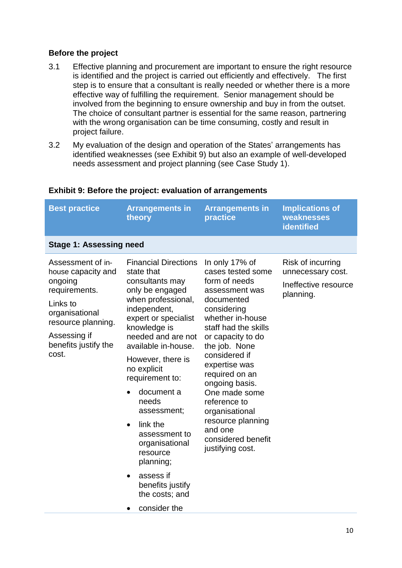## **Before the project**

- 3.1 Effective planning and procurement are important to ensure the right resource is identified and the project is carried out efficiently and effectively. The first step is to ensure that a consultant is really needed or whether there is a more effective way of fulfilling the requirement. Senior management should be involved from the beginning to ensure ownership and buy in from the outset. The choice of consultant partner is essential for the same reason, partnering with the wrong organisation can be time consuming, costly and result in project failure.
- 3.2 My evaluation of the design and operation of the States' arrangements has identified weaknesses (see Exhibit 9) but also an example of well-developed needs assessment and project planning (see Case Study 1).

| <b>Best practice</b>                                                                                                                                                     | <b>Arrangements in</b><br>theory                                                                                                                                                                                                                                                                                                                                                                                                                                             | <b>Arrangements in</b><br>practice                                                                                                                                                                                                                                                                                                                                                       | <b>Implications of</b><br>weaknesses<br>identified                          |
|--------------------------------------------------------------------------------------------------------------------------------------------------------------------------|------------------------------------------------------------------------------------------------------------------------------------------------------------------------------------------------------------------------------------------------------------------------------------------------------------------------------------------------------------------------------------------------------------------------------------------------------------------------------|------------------------------------------------------------------------------------------------------------------------------------------------------------------------------------------------------------------------------------------------------------------------------------------------------------------------------------------------------------------------------------------|-----------------------------------------------------------------------------|
| <b>Stage 1: Assessing need</b>                                                                                                                                           |                                                                                                                                                                                                                                                                                                                                                                                                                                                                              |                                                                                                                                                                                                                                                                                                                                                                                          |                                                                             |
| Assessment of in-<br>house capacity and<br>ongoing<br>requirements.<br>Links to<br>organisational<br>resource planning.<br>Assessing if<br>benefits justify the<br>cost. | <b>Financial Directions</b><br>state that<br>consultants may<br>only be engaged<br>when professional,<br>independent,<br>expert or specialist<br>knowledge is<br>needed and are not<br>available in-house.<br>However, there is<br>no explicit<br>requirement to:<br>document a<br>needs<br>assessment;<br>link the<br>$\bullet$<br>assessment to<br>organisational<br>resource<br>planning;<br>assess if<br>$\bullet$<br>benefits justify<br>the costs; and<br>consider the | In only 17% of<br>cases tested some<br>form of needs<br>assessment was<br>documented<br>considering<br>whether in-house<br>staff had the skills<br>or capacity to do<br>the job. None<br>considered if<br>expertise was<br>required on an<br>ongoing basis.<br>One made some<br>reference to<br>organisational<br>resource planning<br>and one<br>considered benefit<br>justifying cost. | Risk of incurring<br>unnecessary cost.<br>Ineffective resource<br>planning. |

### **Exhibit 9: Before the project: evaluation of arrangements**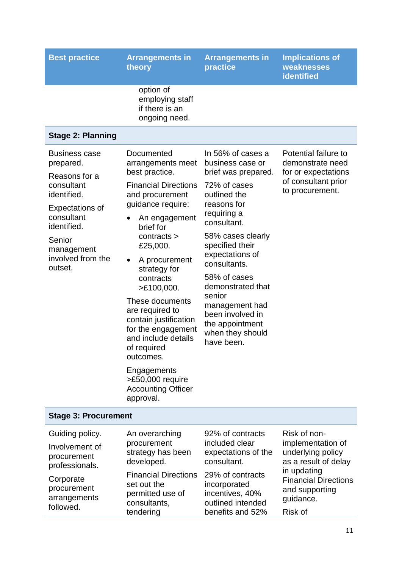| <b>Best practice</b>                                                                                                                                                                           | <b>Arrangements in</b><br>theory                                                                                                                                                                                                                                                                                                                                                                                                                                                | <b>Arrangements in</b><br>practice                                                                                                                                                                                                                                                                                                                             | <b>Implications of</b><br>weaknesses<br><b>identified</b>                                                                                                   |
|------------------------------------------------------------------------------------------------------------------------------------------------------------------------------------------------|---------------------------------------------------------------------------------------------------------------------------------------------------------------------------------------------------------------------------------------------------------------------------------------------------------------------------------------------------------------------------------------------------------------------------------------------------------------------------------|----------------------------------------------------------------------------------------------------------------------------------------------------------------------------------------------------------------------------------------------------------------------------------------------------------------------------------------------------------------|-------------------------------------------------------------------------------------------------------------------------------------------------------------|
|                                                                                                                                                                                                | option of<br>employing staff<br>if there is an<br>ongoing need.                                                                                                                                                                                                                                                                                                                                                                                                                 |                                                                                                                                                                                                                                                                                                                                                                |                                                                                                                                                             |
| <b>Stage 2: Planning</b>                                                                                                                                                                       |                                                                                                                                                                                                                                                                                                                                                                                                                                                                                 |                                                                                                                                                                                                                                                                                                                                                                |                                                                                                                                                             |
| <b>Business case</b><br>prepared.<br>Reasons for a<br>consultant<br>identified.<br><b>Expectations of</b><br>consultant<br>identified.<br>Senior<br>management<br>involved from the<br>outset. | Documented<br>arrangements meet<br>best practice.<br><b>Financial Directions</b><br>and procurement<br>guidance require:<br>An engagement<br>$\bullet$<br>brief for<br>contracts ><br>£25,000.<br>A procurement<br>$\bullet$<br>strategy for<br>contracts<br>>E100,000.<br>These documents<br>are required to<br>contain justification<br>for the engagement<br>and include details<br>of required<br>outcomes.<br>Engagements<br>>£50,000 require<br><b>Accounting Officer</b> | In 56% of cases a<br>business case or<br>brief was prepared.<br>72% of cases<br>outlined the<br>reasons for<br>requiring a<br>consultant.<br>58% cases clearly<br>specified their<br>expectations of<br>consultants.<br>58% of cases<br>demonstrated that<br>senior<br>management had<br>been involved in<br>the appointment<br>when they should<br>have been. | Potential failure to<br>demonstrate need<br>for or expectations<br>of consultant prior<br>to procurement.                                                   |
| <b>Stage 3: Procurement</b>                                                                                                                                                                    | approval.                                                                                                                                                                                                                                                                                                                                                                                                                                                                       |                                                                                                                                                                                                                                                                                                                                                                |                                                                                                                                                             |
| Guiding policy.<br>Involvement of<br>procurement<br>professionals.<br>Corporate<br>procurement<br>arrangements<br>followed.                                                                    | An overarching<br>procurement<br>strategy has been<br>developed.<br><b>Financial Directions</b><br>set out the<br>permitted use of<br>consultants,                                                                                                                                                                                                                                                                                                                              | 92% of contracts<br>included clear<br>expectations of the<br>consultant.<br>29% of contracts<br>incorporated<br>incentives, 40%<br>outlined intended                                                                                                                                                                                                           | Risk of non-<br>implementation of<br>underlying policy<br>as a result of delay<br>in updating<br><b>Financial Directions</b><br>and supporting<br>guidance. |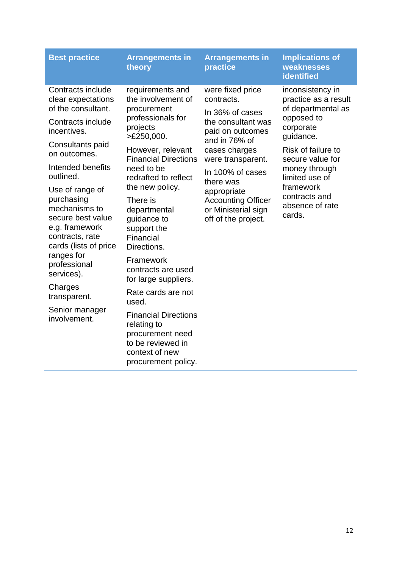| Contracts include<br>were fixed price<br>requirements and<br>inconsistency in<br>the involvement of<br>contracts.<br>practice as a result<br>clear expectations<br>of the consultant.<br>of departmental as<br>procurement<br>In 36% of cases<br>professionals for<br>opposed to<br>Contracts include<br>the consultant was<br>projects<br>corporate<br>incentives.<br>paid on outcomes<br>>E250,000.<br>guidance.<br>and in 76% of<br>Consultants paid<br>Risk of failure to<br>cases charges<br>However, relevant<br>on outcomes.<br><b>Financial Directions</b><br>secure value for<br>were transparent.<br>Intended benefits<br>need to be<br>money through<br>In 100% of cases<br>outlined.<br>limited use of<br>redrafted to reflect<br>there was<br>framework<br>the new policy.<br>Use of range of<br>appropriate<br>contracts and<br>purchasing<br>There is<br><b>Accounting Officer</b><br>absence of rate<br>mechanisms to<br>or Ministerial sign<br>departmental<br>cards.<br>secure best value<br>guidance to<br>off of the project.<br>e.g. framework<br>support the<br>contracts, rate<br>Financial<br>cards (lists of price<br>Directions.<br>ranges for<br>Framework<br>professional<br>contracts are used<br>services).<br>for large suppliers.<br>Charges<br>Rate cards are not<br>transparent.<br>used.<br>Senior manager<br><b>Financial Directions</b><br>involvement.<br>relating to<br>procurement need<br>to be reviewed in<br>context of new<br>procurement policy. | <b>Best practice</b> | <b>Arrangements in</b><br>theory | <b>Arrangements in</b><br>practice | <b>Implications of</b><br>weaknesses<br><b>identified</b> |
|-----------------------------------------------------------------------------------------------------------------------------------------------------------------------------------------------------------------------------------------------------------------------------------------------------------------------------------------------------------------------------------------------------------------------------------------------------------------------------------------------------------------------------------------------------------------------------------------------------------------------------------------------------------------------------------------------------------------------------------------------------------------------------------------------------------------------------------------------------------------------------------------------------------------------------------------------------------------------------------------------------------------------------------------------------------------------------------------------------------------------------------------------------------------------------------------------------------------------------------------------------------------------------------------------------------------------------------------------------------------------------------------------------------------------------------------------------------------------------------------------|----------------------|----------------------------------|------------------------------------|-----------------------------------------------------------|
|                                                                                                                                                                                                                                                                                                                                                                                                                                                                                                                                                                                                                                                                                                                                                                                                                                                                                                                                                                                                                                                                                                                                                                                                                                                                                                                                                                                                                                                                                               |                      |                                  |                                    |                                                           |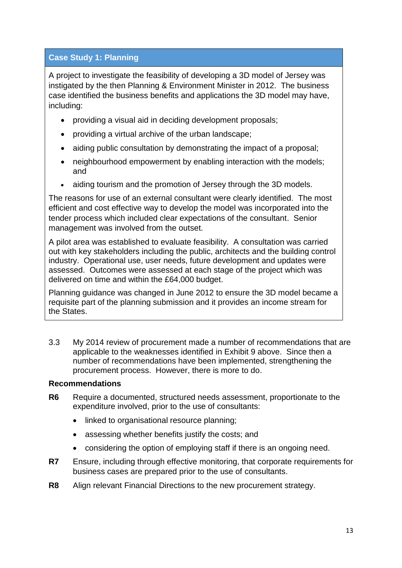## **Case Study 1: Planning**

A project to investigate the feasibility of developing a 3D model of Jersey was instigated by the then Planning & Environment Minister in 2012. The business case identified the business benefits and applications the 3D model may have, including:

- providing a visual aid in deciding development proposals;
- providing a virtual archive of the urban landscape;
- aiding public consultation by demonstrating the impact of a proposal;
- neighbourhood empowerment by enabling interaction with the models; and
- aiding tourism and the promotion of Jersey through the 3D models.

The reasons for use of an external consultant were clearly identified. The most efficient and cost effective way to develop the model was incorporated into the tender process which included clear expectations of the consultant. Senior management was involved from the outset.

A pilot area was established to evaluate feasibility. A consultation was carried out with key stakeholders including the public, architects and the building control industry. Operational use, user needs, future development and updates were assessed. Outcomes were assessed at each stage of the project which was delivered on time and within the £64,000 budget.

Planning guidance was changed in June 2012 to ensure the 3D model became a requisite part of the planning submission and it provides an income stream for the States.

3.3 My 2014 review of procurement made a number of recommendations that are applicable to the weaknesses identified in Exhibit 9 above. Since then a number of recommendations have been implemented, strengthening the procurement process. However, there is more to do.

### **Recommendations**

- **R6** Require a documented, structured needs assessment, proportionate to the expenditure involved, prior to the use of consultants:
	- linked to organisational resource planning;
	- assessing whether benefits justify the costs; and
	- considering the option of employing staff if there is an ongoing need.
- **R7** Ensure, including through effective monitoring, that corporate requirements for business cases are prepared prior to the use of consultants.
- **R8** Align relevant Financial Directions to the new procurement strategy.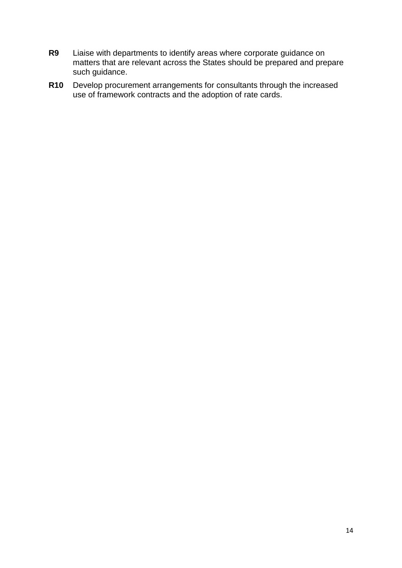- **R9** Liaise with departments to identify areas where corporate guidance on matters that are relevant across the States should be prepared and prepare such guidance.
- **R10** Develop procurement arrangements for consultants through the increased use of framework contracts and the adoption of rate cards.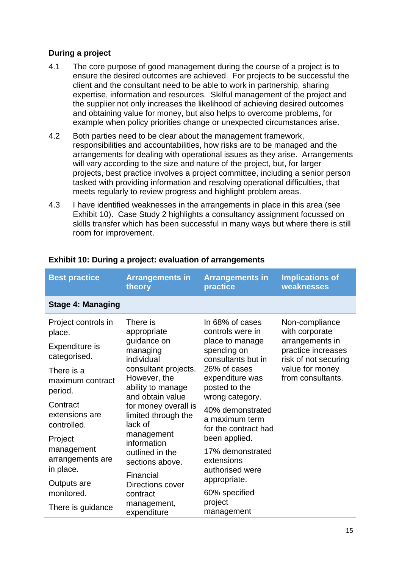## **During a project**

- 4.1 The core purpose of good management during the course of a project is to ensure the desired outcomes are achieved. For projects to be successful the client and the consultant need to be able to work in partnership, sharing expertise, information and resources. Skilful management of the project and the supplier not only increases the likelihood of achieving desired outcomes and obtaining value for money, but also helps to overcome problems, for example when policy priorities change or unexpected circumstances arise.
- 4.2 Both parties need to be clear about the management framework, responsibilities and accountabilities, how risks are to be managed and the arrangements for dealing with operational issues as they arise. Arrangements will vary according to the size and nature of the project, but, for larger projects, best practice involves a project committee, including a senior person tasked with providing information and resolving operational difficulties, that meets regularly to review progress and highlight problem areas.
- 4.3 I have identified weaknesses in the arrangements in place in this area (see Exhibit 10). Case Study 2 highlights a consultancy assignment focussed on skills transfer which has been successful in many ways but where there is still room for improvement.

| <b>Best practice</b>                      | <b>Arrangements in</b><br>theory                                                                                                        | <b>Arrangements in</b><br>practice                                                                                                                                                                       | <b>Implications of</b><br>weaknesses                                                                  |
|-------------------------------------------|-----------------------------------------------------------------------------------------------------------------------------------------|----------------------------------------------------------------------------------------------------------------------------------------------------------------------------------------------------------|-------------------------------------------------------------------------------------------------------|
| <b>Stage 4: Managing</b>                  |                                                                                                                                         |                                                                                                                                                                                                          |                                                                                                       |
| Project controls in<br>place.             | There is<br>appropriate                                                                                                                 | In 68% of cases<br>controls were in                                                                                                                                                                      | Non-compliance<br>with corporate                                                                      |
| Expenditure is<br>categorised.            | managing<br>individual                                                                                                                  | guidance on<br>place to manage<br>spending on<br>consultants but in<br>26% of cases<br>expenditure was<br>posted to the<br>wrong category.<br>40% demonstrated<br>a maximum term<br>for the contract had | arrangements in<br>practice increases<br>risk of not securing<br>value for money<br>from consultants. |
| There is a<br>maximum contract<br>period. | consultant projects.<br>However, the<br>ability to manage<br>and obtain value<br>for money overall is<br>limited through the<br>lack of |                                                                                                                                                                                                          |                                                                                                       |
| Contract<br>extensions are<br>controlled. |                                                                                                                                         |                                                                                                                                                                                                          |                                                                                                       |
| Project<br>management<br>arrangements are | management<br>information<br>outlined in the<br>sections above.                                                                         | been applied.<br>17% demonstrated<br>extensions                                                                                                                                                          |                                                                                                       |
| in place.<br>Outputs are<br>monitored.    | Financial<br>Directions cover<br>contract                                                                                               | authorised were<br>appropriate.<br>60% specified                                                                                                                                                         |                                                                                                       |
| There is guidance                         | management,<br>expenditure                                                                                                              | project<br>management                                                                                                                                                                                    |                                                                                                       |

## **Exhibit 10: During a project: evaluation of arrangements**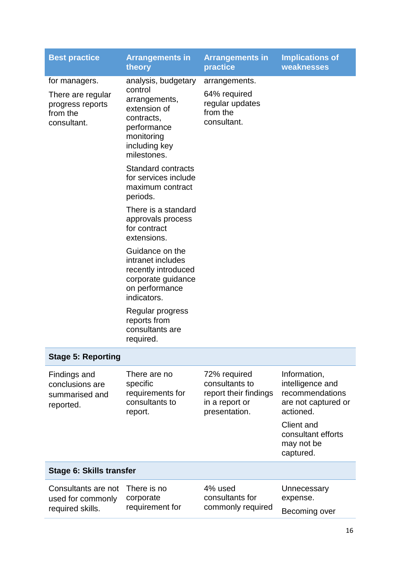| <b>Best practice</b>                                                              | <b>Arrangements in</b><br>theory                                                                                                           | <b>Arrangements in</b><br>practice                                                         | <b>Implications of</b><br>weaknesses                                                    |
|-----------------------------------------------------------------------------------|--------------------------------------------------------------------------------------------------------------------------------------------|--------------------------------------------------------------------------------------------|-----------------------------------------------------------------------------------------|
| for managers.<br>There are regular<br>progress reports<br>from the<br>consultant. | analysis, budgetary<br>control<br>arrangements,<br>extension of<br>contracts,<br>performance<br>monitoring<br>including key<br>milestones. | arrangements.<br>64% required<br>regular updates<br>from the<br>consultant.                |                                                                                         |
|                                                                                   | <b>Standard contracts</b><br>for services include<br>maximum contract<br>periods.                                                          |                                                                                            |                                                                                         |
|                                                                                   | There is a standard<br>approvals process<br>for contract<br>extensions.                                                                    |                                                                                            |                                                                                         |
|                                                                                   | Guidance on the<br>intranet includes<br>recently introduced<br>corporate guidance<br>on performance<br>indicators.                         |                                                                                            |                                                                                         |
|                                                                                   | Regular progress<br>reports from<br>consultants are<br>required.                                                                           |                                                                                            |                                                                                         |
| <b>Stage 5: Reporting</b>                                                         |                                                                                                                                            |                                                                                            |                                                                                         |
| Findings and<br>conclusions are<br>summarised and<br>reported.                    | There are no<br>specific<br>requirements for<br>consultants to<br>report.                                                                  | 72% required<br>consultants to<br>report their findings<br>in a report or<br>presentation. | Information,<br>intelligence and<br>recommendations<br>are not captured or<br>actioned. |
|                                                                                   |                                                                                                                                            |                                                                                            | <b>Client and</b><br>consultant efforts<br>may not be<br>captured.                      |
| Stage 6: Skills transfer                                                          |                                                                                                                                            |                                                                                            |                                                                                         |
| Consultants are not<br>used for commonly<br>required skills.                      | There is no<br>corporate<br>requirement for                                                                                                | 4% used<br>consultants for<br>commonly required                                            | Unnecessary<br>expense.<br>Becoming over                                                |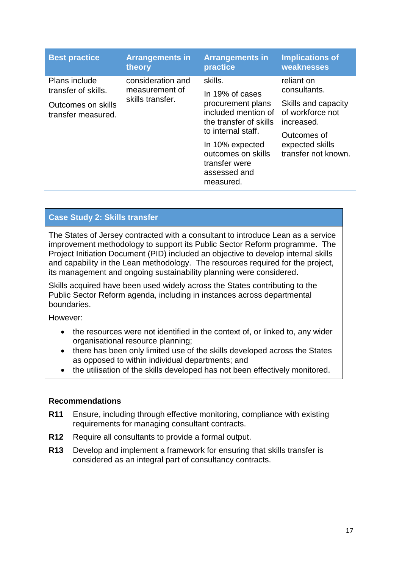| <b>Best practice</b>                     | <b>Arrangements in</b> | <b>Arrangements in</b>                                                                                    | <b>Implications of</b>                                |
|------------------------------------------|------------------------|-----------------------------------------------------------------------------------------------------------|-------------------------------------------------------|
|                                          | theory                 | practice                                                                                                  | weaknesses                                            |
| <b>Plans include</b>                     | consideration and      | skills.                                                                                                   | reliant on                                            |
| transfer of skills.                      | measurement of         | In 19% of cases                                                                                           | consultants.                                          |
| Outcomes on skills<br>transfer measured. | skills transfer.       | procurement plans<br>included mention of<br>the transfer of skills                                        | Skills and capacity<br>of workforce not<br>increased. |
|                                          |                        | to internal staff.<br>In 10% expected<br>outcomes on skills<br>transfer were<br>assessed and<br>measured. | Outcomes of<br>expected skills<br>transfer not known. |

## **Case Study 2: Skills transfer**

The States of Jersey contracted with a consultant to introduce Lean as a service improvement methodology to support its Public Sector Reform programme. The Project Initiation Document (PID) included an objective to develop internal skills and capability in the Lean methodology. The resources required for the project, its management and ongoing sustainability planning were considered.

Skills acquired have been used widely across the States contributing to the Public Sector Reform agenda, including in instances across departmental boundaries.

However:

- the resources were not identified in the context of, or linked to, any wider organisational resource planning;
- there has been only limited use of the skills developed across the States as opposed to within individual departments; and
- the utilisation of the skills developed has not been effectively monitored.

#### **Recommendations**

- **R11** Ensure, including through effective monitoring, compliance with existing requirements for managing consultant contracts.
- **R12** Require all consultants to provide a formal output.
- **R13** Develop and implement a framework for ensuring that skills transfer is considered as an integral part of consultancy contracts.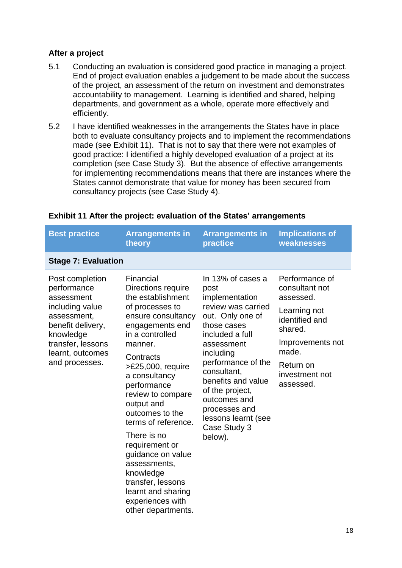#### **After a project**

- 5.1 Conducting an evaluation is considered good practice in managing a project. End of project evaluation enables a judgement to be made about the success of the project, an assessment of the return on investment and demonstrates accountability to management. Learning is identified and shared, helping departments, and government as a whole, operate more effectively and efficiently.
- 5.2 I have identified weaknesses in the arrangements the States have in place both to evaluate consultancy projects and to implement the recommendations made (see Exhibit 11). That is not to say that there were not examples of good practice: I identified a highly developed evaluation of a project at its completion (see Case Study 3). But the absence of effective arrangements for implementing recommendations means that there are instances where the States cannot demonstrate that value for money has been secured from consultancy projects (see Case Study 4).

| <b>Best practice</b>                                                                                                                                                        | <b>Arrangements in</b><br>theory                                                                                                                                                                                                                                                                                                                                                                                                                                      | <b>Arrangements in</b><br>practice                                                                                                                                                                                                                                                                                  | <b>Implications of</b><br>weaknesses                                                                                                                                |
|-----------------------------------------------------------------------------------------------------------------------------------------------------------------------------|-----------------------------------------------------------------------------------------------------------------------------------------------------------------------------------------------------------------------------------------------------------------------------------------------------------------------------------------------------------------------------------------------------------------------------------------------------------------------|---------------------------------------------------------------------------------------------------------------------------------------------------------------------------------------------------------------------------------------------------------------------------------------------------------------------|---------------------------------------------------------------------------------------------------------------------------------------------------------------------|
| <b>Stage 7: Evaluation</b>                                                                                                                                                  |                                                                                                                                                                                                                                                                                                                                                                                                                                                                       |                                                                                                                                                                                                                                                                                                                     |                                                                                                                                                                     |
| Post completion<br>performance<br>assessment<br>including value<br>assessment,<br>benefit delivery,<br>knowledge<br>transfer, lessons<br>learnt, outcomes<br>and processes. | Financial<br>Directions require<br>the establishment<br>of processes to<br>ensure consultancy<br>engagements end<br>in a controlled<br>manner.<br>Contracts<br>>£25,000, require<br>a consultancy<br>performance<br>review to compare<br>output and<br>outcomes to the<br>terms of reference.<br>There is no<br>requirement or<br>guidance on value<br>assessments,<br>knowledge<br>transfer, lessons<br>learnt and sharing<br>experiences with<br>other departments. | In 13% of cases a<br>post<br>implementation<br>review was carried<br>out. Only one of<br>those cases<br>included a full<br>assessment<br>including<br>performance of the<br>consultant,<br>benefits and value<br>of the project,<br>outcomes and<br>processes and<br>lessons learnt (see<br>Case Study 3<br>below). | Performance of<br>consultant not<br>assessed.<br>Learning not<br>identified and<br>shared.<br>Improvements not<br>made.<br>Return on<br>investment not<br>assessed. |

#### **Exhibit 11 After the project: evaluation of the States' arrangements**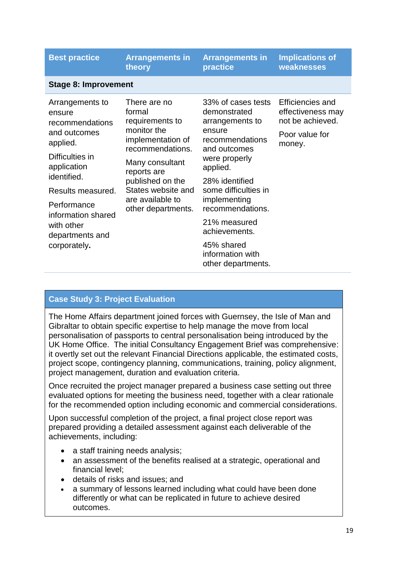| <b>Best practice</b>                                                                                                                                                                                                                 | <b>Arrangements in</b><br>theory                                                                                                                                                                                        | <b>Arrangements in</b><br>practice                                                                                                                                                                                                                                                                     | <b>Implications of</b><br>weaknesses                                                  |
|--------------------------------------------------------------------------------------------------------------------------------------------------------------------------------------------------------------------------------------|-------------------------------------------------------------------------------------------------------------------------------------------------------------------------------------------------------------------------|--------------------------------------------------------------------------------------------------------------------------------------------------------------------------------------------------------------------------------------------------------------------------------------------------------|---------------------------------------------------------------------------------------|
| <b>Stage 8: Improvement</b>                                                                                                                                                                                                          |                                                                                                                                                                                                                         |                                                                                                                                                                                                                                                                                                        |                                                                                       |
| Arrangements to<br>ensure<br>recommendations<br>and outcomes<br>applied.<br>Difficulties in<br>application<br>identified.<br>Results measured.<br>Performance<br>information shared<br>with other<br>departments and<br>corporately. | There are no<br>formal<br>requirements to<br>monitor the<br>implementation of<br>recommendations.<br>Many consultant<br>reports are<br>published on the<br>States website and<br>are available to<br>other departments. | 33% of cases tests<br>demonstrated<br>arrangements to<br>ensure<br>recommendations<br>and outcomes<br>were properly<br>applied.<br>28% identified<br>some difficulties in<br>implementing<br>recommendations.<br>21% measured<br>achievements.<br>45% shared<br>information with<br>other departments. | Efficiencies and<br>effectiveness may<br>not be achieved.<br>Poor value for<br>money. |

## **Case Study 3: Project Evaluation**

The Home Affairs department joined forces with Guernsey, the Isle of Man and Gibraltar to obtain specific expertise to help manage the move from local personalisation of passports to central personalisation being introduced by the UK Home Office. The initial Consultancy Engagement Brief was comprehensive: it overtly set out the relevant Financial Directions applicable, the estimated costs, project scope, contingency planning, communications, training, policy alignment, project management, duration and evaluation criteria.

Once recruited the project manager prepared a business case setting out three evaluated options for meeting the business need, together with a clear rationale for the recommended option including economic and commercial considerations.

Upon successful completion of the project, a final project close report was prepared providing a detailed assessment against each deliverable of the achievements, including:

- a staff training needs analysis;
- an assessment of the benefits realised at a strategic, operational and financial level;
- details of risks and issues; and
- a summary of lessons learned including what could have been done differently or what can be replicated in future to achieve desired outcomes.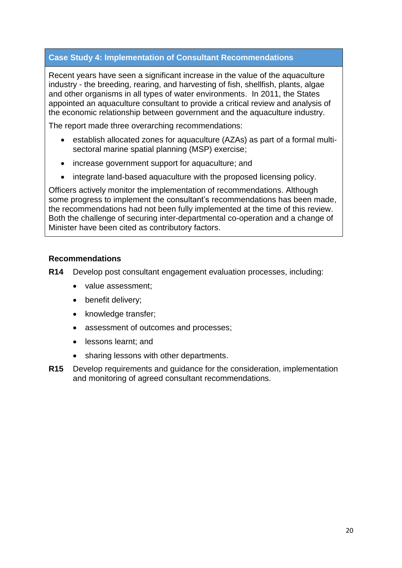## **Case Study 4: Implementation of Consultant Recommendations**

Recent years have seen a significant increase in the value of the aquaculture industry - the breeding, rearing, and harvesting of fish, shellfish, plants, algae and other organisms in all types of water environments. In 2011, the States appointed an aquaculture consultant to provide a critical review and analysis of the economic relationship between government and the aquaculture industry.

The report made three overarching recommendations:

- establish allocated zones for aquaculture (AZAs) as part of a formal multisectoral marine spatial planning (MSP) exercise;
- increase government support for aquaculture; and
- integrate land-based aquaculture with the proposed licensing policy.

Officers actively monitor the implementation of recommendations. Although some progress to implement the consultant's recommendations has been made, the recommendations had not been fully implemented at the time of this review. Both the challenge of securing inter-departmental co-operation and a change of Minister have been cited as contributory factors.

### **Recommendations**

**R14** Develop post consultant engagement evaluation processes, including:

- value assessment:
- benefit delivery;
- knowledge transfer;
- assessment of outcomes and processes;
- lessons learnt; and
- sharing lessons with other departments.
- **R15** Develop requirements and guidance for the consideration, implementation and monitoring of agreed consultant recommendations.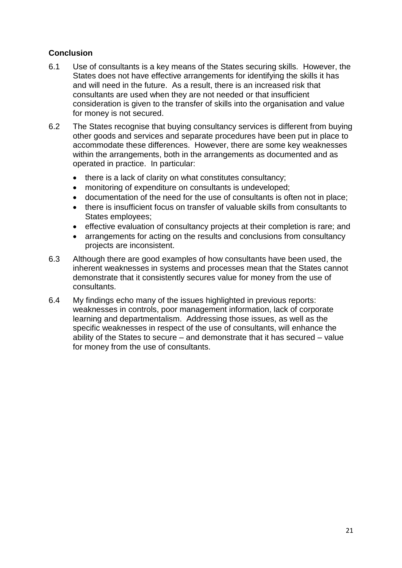## **Conclusion**

- 6.1 Use of consultants is a key means of the States securing skills. However, the States does not have effective arrangements for identifying the skills it has and will need in the future. As a result, there is an increased risk that consultants are used when they are not needed or that insufficient consideration is given to the transfer of skills into the organisation and value for money is not secured.
- 6.2 The States recognise that buying consultancy services is different from buying other goods and services and separate procedures have been put in place to accommodate these differences. However, there are some key weaknesses within the arrangements, both in the arrangements as documented and as operated in practice. In particular:
	- there is a lack of clarity on what constitutes consultancy;
	- monitoring of expenditure on consultants is undeveloped;
	- documentation of the need for the use of consultants is often not in place;
	- there is insufficient focus on transfer of valuable skills from consultants to States employees;
	- effective evaluation of consultancy projects at their completion is rare; and
	- arrangements for acting on the results and conclusions from consultancy projects are inconsistent.
- 6.3 Although there are good examples of how consultants have been used, the inherent weaknesses in systems and processes mean that the States cannot demonstrate that it consistently secures value for money from the use of consultants.
- 6.4 My findings echo many of the issues highlighted in previous reports: weaknesses in controls, poor management information, lack of corporate learning and departmentalism. Addressing those issues, as well as the specific weaknesses in respect of the use of consultants, will enhance the ability of the States to secure – and demonstrate that it has secured – value for money from the use of consultants.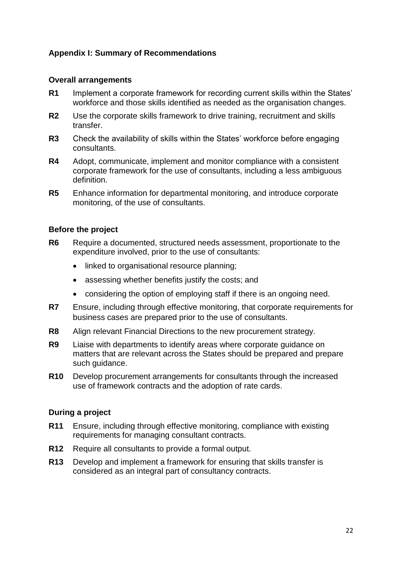## **Appendix I: Summary of Recommendations**

#### **Overall arrangements**

- **R1** Implement a corporate framework for recording current skills within the States' workforce and those skills identified as needed as the organisation changes.
- **R2** Use the corporate skills framework to drive training, recruitment and skills transfer.
- **R3** Check the availability of skills within the States' workforce before engaging consultants.
- **R4** Adopt, communicate, implement and monitor compliance with a consistent corporate framework for the use of consultants, including a less ambiguous definition.
- **R5** Enhance information for departmental monitoring, and introduce corporate monitoring, of the use of consultants.

#### **Before the project**

- **R6** Require a documented, structured needs assessment, proportionate to the expenditure involved, prior to the use of consultants:
	- linked to organisational resource planning;
	- assessing whether benefits justify the costs; and
	- considering the option of employing staff if there is an ongoing need.
- **R7** Ensure, including through effective monitoring, that corporate requirements for business cases are prepared prior to the use of consultants.
- **R8** Align relevant Financial Directions to the new procurement strategy.
- **R9** Liaise with departments to identify areas where corporate guidance on matters that are relevant across the States should be prepared and prepare such guidance.
- **R10** Develop procurement arrangements for consultants through the increased use of framework contracts and the adoption of rate cards.

#### **During a project**

- **R11** Ensure, including through effective monitoring, compliance with existing requirements for managing consultant contracts.
- **R12** Require all consultants to provide a formal output.
- **R13** Develop and implement a framework for ensuring that skills transfer is considered as an integral part of consultancy contracts.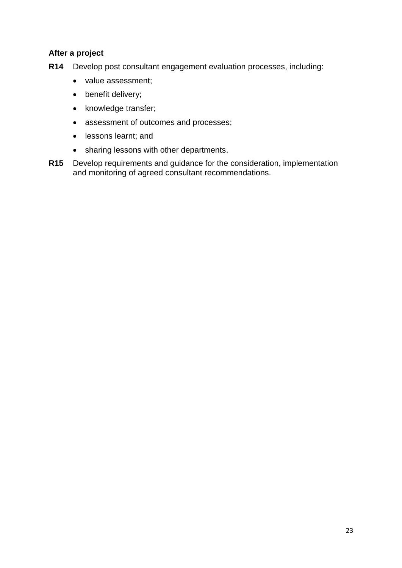## **After a project**

- **R14** Develop post consultant engagement evaluation processes, including:
	- value assessment;
	- benefit delivery;
	- knowledge transfer;
	- assessment of outcomes and processes;
	- lessons learnt; and
	- sharing lessons with other departments.
- **R15** Develop requirements and guidance for the consideration, implementation and monitoring of agreed consultant recommendations.